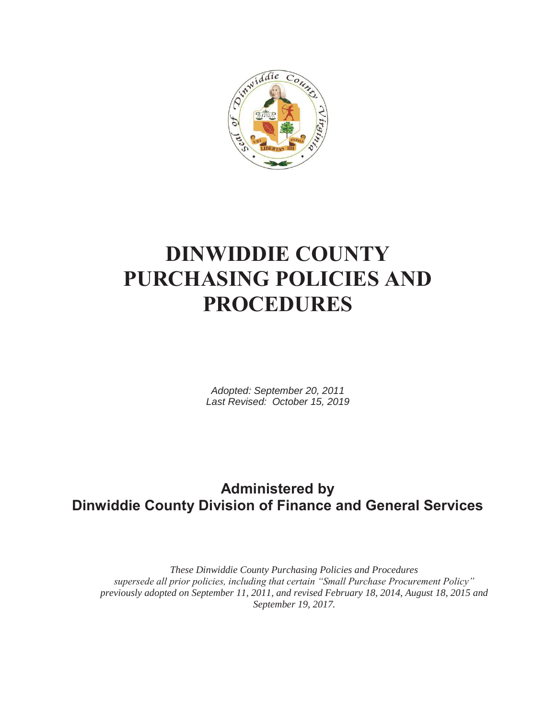

# **DINWIDDIE COUNTY PURCHASING POLICIES AND PROCEDURES**

*Adopted: September 20, 2011 Last Revised: October 15, 2019* 

## **Administered by Dinwiddie County Division of Finance and General Services**

*These Dinwiddie County Purchasing Policies and Procedures supersede all prior policies, including that certain "Small Purchase Procurement Policy" previously adopted on September 11, 2011, and revised February 18, 2014, August 18, 2015 and September 19, 2017.*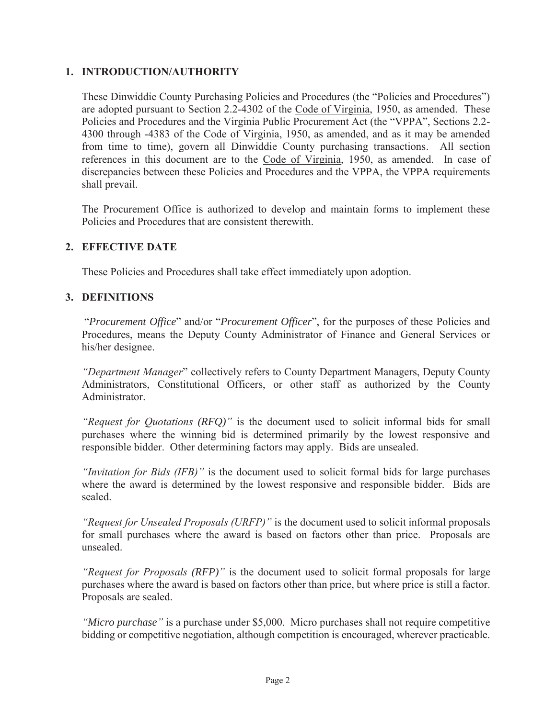#### **1. INTRODUCTION/AUTHORITY**

These Dinwiddie County Purchasing Policies and Procedures (the "Policies and Procedures") are adopted pursuant to Section 2.2-4302 of the Code of Virginia, 1950, as amended. These Policies and Procedures and the Virginia Public Procurement Act (the "VPPA", Sections 2.2- 4300 through -4383 of the Code of Virginia, 1950, as amended, and as it may be amended from time to time), govern all Dinwiddie County purchasing transactions. All section references in this document are to the Code of Virginia, 1950, as amended. In case of discrepancies between these Policies and Procedures and the VPPA, the VPPA requirements shall prevail.

The Procurement Office is authorized to develop and maintain forms to implement these Policies and Procedures that are consistent therewith.

#### **2. EFFECTIVE DATE**

These Policies and Procedures shall take effect immediately upon adoption.

#### **3. DEFINITIONS**

"*Procurement Office*" and/or "*Procurement Officer*", for the purposes of these Policies and Procedures, means the Deputy County Administrator of Finance and General Services or his/her designee.

*"Department Manager*" collectively refers to County Department Managers, Deputy County Administrators, Constitutional Officers, or other staff as authorized by the County Administrator.

*"Request for Quotations (RFQ)"* is the document used to solicit informal bids for small purchases where the winning bid is determined primarily by the lowest responsive and responsible bidder. Other determining factors may apply. Bids are unsealed.

*"Invitation for Bids (IFB)"* is the document used to solicit formal bids for large purchases where the award is determined by the lowest responsive and responsible bidder. Bids are sealed.

*"Request for Unsealed Proposals (URFP)"* is the document used to solicit informal proposals for small purchases where the award is based on factors other than price. Proposals are unsealed.

*"Request for Proposals (RFP)"* is the document used to solicit formal proposals for large purchases where the award is based on factors other than price, but where price is still a factor. Proposals are sealed.

*"Micro purchase"* is a purchase under \$5,000. Micro purchases shall not require competitive bidding or competitive negotiation, although competition is encouraged, wherever practicable.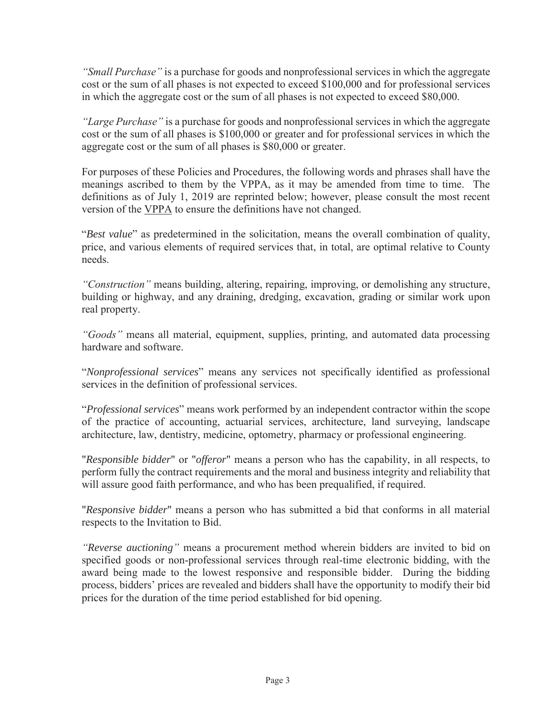*"Small Purchase"* is a purchase for goods and nonprofessional services in which the aggregate cost or the sum of all phases is not expected to exceed \$100,000 and for professional services in which the aggregate cost or the sum of all phases is not expected to exceed \$80,000.

*"Large Purchase"* is a purchase for goods and nonprofessional services in which the aggregate cost or the sum of all phases is \$100,000 or greater and for professional services in which the aggregate cost or the sum of all phases is \$80,000 or greater.

For purposes of these Policies and Procedures, the following words and phrases shall have the meanings ascribed to them by the VPPA, as it may be amended from time to time. The definitions as of July 1, 2019 are reprinted below; however, please consult the most recent version of the VPPA to ensure the definitions have not changed.

"*Best value*" as predetermined in the solicitation, means the overall combination of quality, price, and various elements of required services that, in total, are optimal relative to County needs.

*"Construction"* means building, altering, repairing, improving, or demolishing any structure, building or highway, and any draining, dredging, excavation, grading or similar work upon real property.

*"Goods"* means all material, equipment, supplies, printing, and automated data processing hardware and software.

"*Nonprofessional services*" means any services not specifically identified as professional services in the definition of professional services.

"*Professional services*" means work performed by an independent contractor within the scope of the practice of accounting, actuarial services, architecture, land surveying, landscape architecture, law, dentistry, medicine, optometry, pharmacy or professional engineering.

"*Responsible bidder*" or "*offeror*" means a person who has the capability, in all respects, to perform fully the contract requirements and the moral and business integrity and reliability that will assure good faith performance, and who has been prequalified, if required.

"*Responsive bidder*" means a person who has submitted a bid that conforms in all material respects to the Invitation to Bid.

*"Reverse auctioning"* means a procurement method wherein bidders are invited to bid on specified goods or non-professional services through real-time electronic bidding, with the award being made to the lowest responsive and responsible bidder. During the bidding process, bidders' prices are revealed and bidders shall have the opportunity to modify their bid prices for the duration of the time period established for bid opening.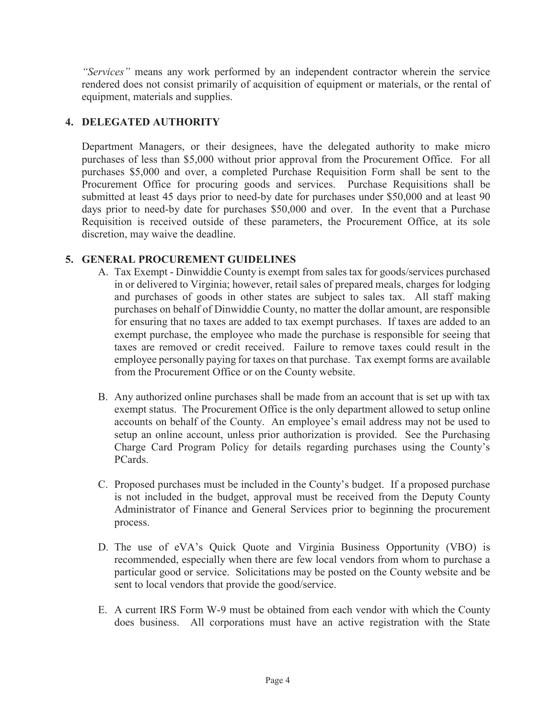*"Services"* means any work performed by an independent contractor wherein the service rendered does not consist primarily of acquisition of equipment or materials, or the rental of equipment, materials and supplies.

#### **4. DELEGATED AUTHORITY**

Department Managers, or their designees, have the delegated authority to make micro purchases of less than \$5,000 without prior approval from the Procurement Office. For all purchases \$5,000 and over, a completed Purchase Requisition Form shall be sent to the Procurement Office for procuring goods and services. Purchase Requisitions shall be submitted at least 45 days prior to need-by date for purchases under \$50,000 and at least 90 days prior to need-by date for purchases \$50,000 and over. In the event that a Purchase Requisition is received outside of these parameters, the Procurement Office, at its sole discretion, may waive the deadline.

#### **5. GENERAL PROCUREMENT GUIDELINES**

- A. Tax Exempt Dinwiddie County is exempt from sales tax for goods/services purchased in or delivered to Virginia; however, retail sales of prepared meals, charges for lodging and purchases of goods in other states are subject to sales tax. All staff making purchases on behalf of Dinwiddie County, no matter the dollar amount, are responsible for ensuring that no taxes are added to tax exempt purchases. If taxes are added to an exempt purchase, the employee who made the purchase is responsible for seeing that taxes are removed or credit received. Failure to remove taxes could result in the employee personally paying for taxes on that purchase. Tax exempt forms are available from the Procurement Office or on the County website.
- B. Any authorized online purchases shall be made from an account that is set up with tax exempt status. The Procurement Office is the only department allowed to setup online accounts on behalf of the County. An employee's email address may not be used to setup an online account, unless prior authorization is provided. See the Purchasing Charge Card Program Policy for details regarding purchases using the County's PCards.
- C. Proposed purchases must be included in the County's budget. If a proposed purchase is not included in the budget, approval must be received from the Deputy County Administrator of Finance and General Services prior to beginning the procurement process.
- D. The use of eVA's Quick Quote and Virginia Business Opportunity (VBO) is recommended, especially when there are few local vendors from whom to purchase a particular good or service. Solicitations may be posted on the County website and be sent to local vendors that provide the good/service.
- E. A current IRS Form W-9 must be obtained from each vendor with which the County does business. All corporations must have an active registration with the State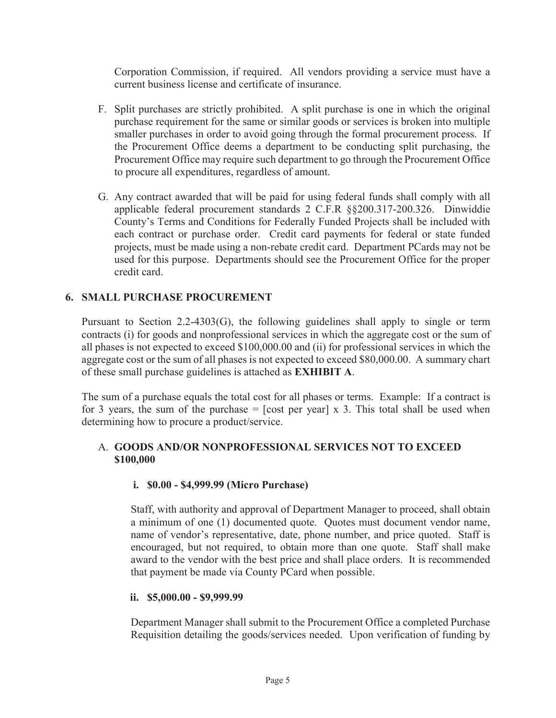Corporation Commission, if required. All vendors providing a service must have a current business license and certificate of insurance.

- F. Split purchases are strictly prohibited. A split purchase is one in which the original purchase requirement for the same or similar goods or services is broken into multiple smaller purchases in order to avoid going through the formal procurement process. If the Procurement Office deems a department to be conducting split purchasing, the Procurement Office may require such department to go through the Procurement Office to procure all expenditures, regardless of amount.
- G. Any contract awarded that will be paid for using federal funds shall comply with all applicable federal procurement standards 2 C.F.R §§200.317-200.326. Dinwiddie County's Terms and Conditions for Federally Funded Projects shall be included with each contract or purchase order. Credit card payments for federal or state funded projects, must be made using a non-rebate credit card. Department PCards may not be used for this purpose. Departments should see the Procurement Office for the proper credit card.

#### **6. SMALL PURCHASE PROCUREMENT**

Pursuant to Section 2.2-4303(G), the following guidelines shall apply to single or term contracts (i) for goods and nonprofessional services in which the aggregate cost or the sum of all phases is not expected to exceed \$100,000.00 and (ii) for professional services in which the aggregate cost or the sum of all phases is not expected to exceed \$80,000.00. A summary chart of these small purchase guidelines is attached as **EXHIBIT A**.

The sum of a purchase equals the total cost for all phases or terms. Example: If a contract is for 3 years, the sum of the purchase  $=$  [cost per year] x 3. This total shall be used when determining how to procure a product/service.

#### A. **GOODS AND/OR NONPROFESSIONAL SERVICES NOT TO EXCEED \$100,000**

#### **i. \$0.00 - \$4,999.99 (Micro Purchase)**

Staff, with authority and approval of Department Manager to proceed, shall obtain a minimum of one (1) documented quote. Quotes must document vendor name, name of vendor's representative, date, phone number, and price quoted. Staff is encouraged, but not required, to obtain more than one quote. Staff shall make award to the vendor with the best price and shall place orders. It is recommended that payment be made via County PCard when possible.

#### **ii. \$5,000.00 - \$9,999.99**

Department Manager shall submit to the Procurement Office a completed Purchase Requisition detailing the goods/services needed. Upon verification of funding by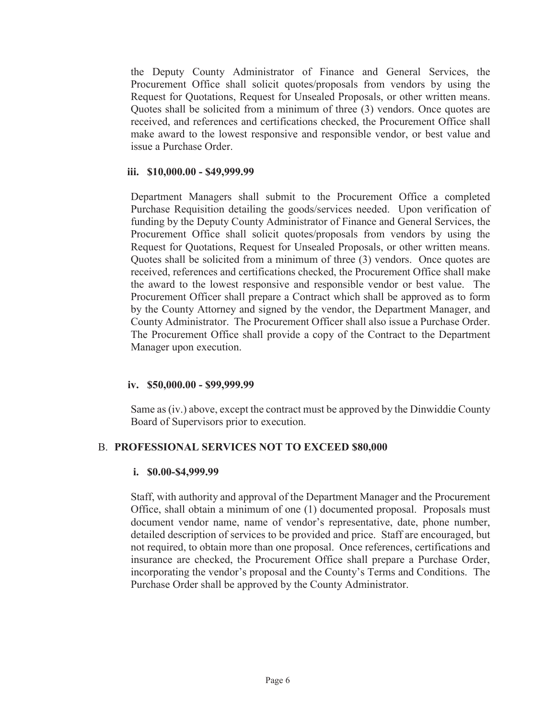the Deputy County Administrator of Finance and General Services, the Procurement Office shall solicit quotes/proposals from vendors by using the Request for Quotations, Request for Unsealed Proposals, or other written means. Quotes shall be solicited from a minimum of three (3) vendors. Once quotes are received, and references and certifications checked, the Procurement Office shall make award to the lowest responsive and responsible vendor, or best value and issue a Purchase Order.

#### **iii. \$10,000.00 - \$49,999.99**

Department Managers shall submit to the Procurement Office a completed Purchase Requisition detailing the goods/services needed. Upon verification of funding by the Deputy County Administrator of Finance and General Services, the Procurement Office shall solicit quotes/proposals from vendors by using the Request for Quotations, Request for Unsealed Proposals, or other written means. Quotes shall be solicited from a minimum of three (3) vendors. Once quotes are received, references and certifications checked, the Procurement Office shall make the award to the lowest responsive and responsible vendor or best value. The Procurement Officer shall prepare a Contract which shall be approved as to form by the County Attorney and signed by the vendor, the Department Manager, and County Administrator. The Procurement Officer shall also issue a Purchase Order. The Procurement Office shall provide a copy of the Contract to the Department Manager upon execution.

#### **iv. \$50,000.00 - \$99,999.99**

Same as (iv.) above, except the contract must be approved by the Dinwiddie County Board of Supervisors prior to execution.

#### B. **PROFESSIONAL SERVICES NOT TO EXCEED \$80,000**

#### **i. \$0.00-\$4,999.99**

Staff, with authority and approval of the Department Manager and the Procurement Office, shall obtain a minimum of one (1) documented proposal. Proposals must document vendor name, name of vendor's representative, date, phone number, detailed description of services to be provided and price. Staff are encouraged, but not required, to obtain more than one proposal. Once references, certifications and insurance are checked, the Procurement Office shall prepare a Purchase Order, incorporating the vendor's proposal and the County's Terms and Conditions. The Purchase Order shall be approved by the County Administrator.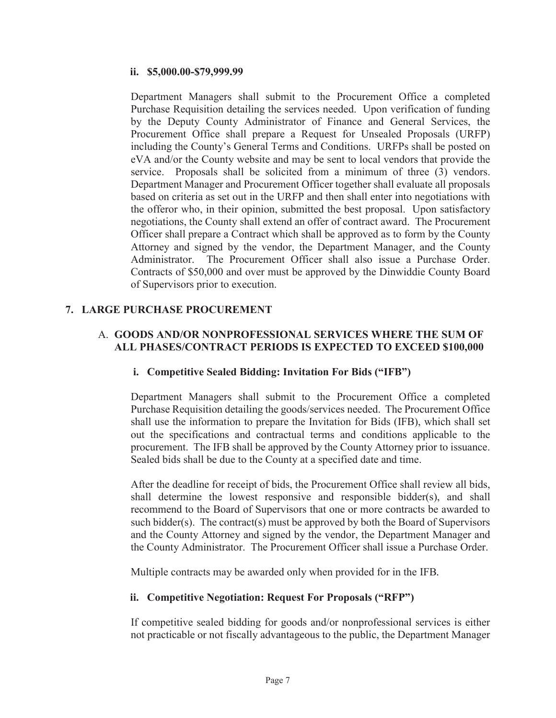#### **ii. \$5,000.00-\$79,999.99**

Department Managers shall submit to the Procurement Office a completed Purchase Requisition detailing the services needed. Upon verification of funding by the Deputy County Administrator of Finance and General Services, the Procurement Office shall prepare a Request for Unsealed Proposals (URFP) including the County's General Terms and Conditions. URFPs shall be posted on eVA and/or the County website and may be sent to local vendors that provide the service. Proposals shall be solicited from a minimum of three (3) vendors. Department Manager and Procurement Officer together shall evaluate all proposals based on criteria as set out in the URFP and then shall enter into negotiations with the offeror who, in their opinion, submitted the best proposal. Upon satisfactory negotiations, the County shall extend an offer of contract award. The Procurement Officer shall prepare a Contract which shall be approved as to form by the County Attorney and signed by the vendor, the Department Manager, and the County Administrator. The Procurement Officer shall also issue a Purchase Order. Contracts of \$50,000 and over must be approved by the Dinwiddie County Board of Supervisors prior to execution.

#### **7. LARGE PURCHASE PROCUREMENT**

#### A. **GOODS AND/OR NONPROFESSIONAL SERVICES WHERE THE SUM OF ALL PHASES/CONTRACT PERIODS IS EXPECTED TO EXCEED \$100,000**

#### **i. Competitive Sealed Bidding: Invitation For Bids ("IFB")**

Department Managers shall submit to the Procurement Office a completed Purchase Requisition detailing the goods/services needed. The Procurement Office shall use the information to prepare the Invitation for Bids (IFB), which shall set out the specifications and contractual terms and conditions applicable to the procurement. The IFB shall be approved by the County Attorney prior to issuance. Sealed bids shall be due to the County at a specified date and time.

After the deadline for receipt of bids, the Procurement Office shall review all bids, shall determine the lowest responsive and responsible bidder(s), and shall recommend to the Board of Supervisors that one or more contracts be awarded to such bidder(s). The contract(s) must be approved by both the Board of Supervisors and the County Attorney and signed by the vendor, the Department Manager and the County Administrator. The Procurement Officer shall issue a Purchase Order.

Multiple contracts may be awarded only when provided for in the IFB*.* 

#### **ii. Competitive Negotiation: Request For Proposals ("RFP")**

If competitive sealed bidding for goods and/or nonprofessional services is either not practicable or not fiscally advantageous to the public, the Department Manager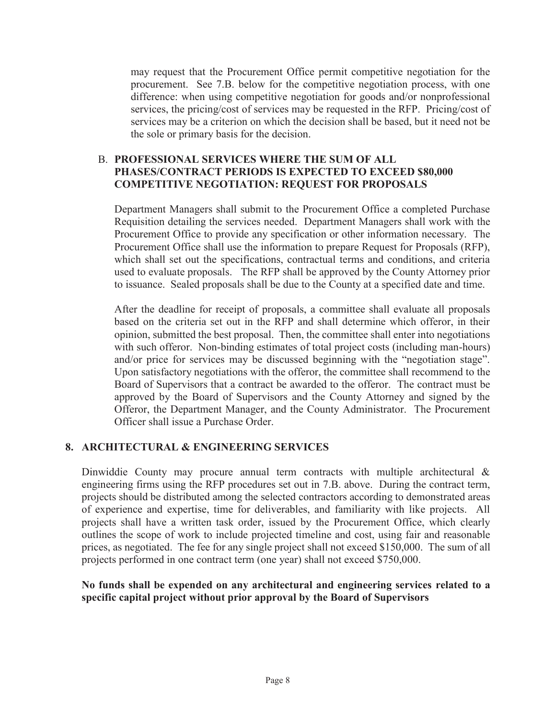may request that the Procurement Office permit competitive negotiation for the procurement. See 7.B. below for the competitive negotiation process, with one difference: when using competitive negotiation for goods and/or nonprofessional services, the pricing/cost of services may be requested in the RFP. Pricing/cost of services may be a criterion on which the decision shall be based, but it need not be the sole or primary basis for the decision.

#### B. **PROFESSIONAL SERVICES WHERE THE SUM OF ALL PHASES/CONTRACT PERIODS IS EXPECTED TO EXCEED \$80,000 COMPETITIVE NEGOTIATION: REQUEST FOR PROPOSALS**

Department Managers shall submit to the Procurement Office a completed Purchase Requisition detailing the services needed. Department Managers shall work with the Procurement Office to provide any specification or other information necessary. The Procurement Office shall use the information to prepare Request for Proposals (RFP), which shall set out the specifications, contractual terms and conditions, and criteria used to evaluate proposals. The RFP shall be approved by the County Attorney prior to issuance. Sealed proposals shall be due to the County at a specified date and time.

After the deadline for receipt of proposals, a committee shall evaluate all proposals based on the criteria set out in the RFP and shall determine which offeror, in their opinion, submitted the best proposal. Then, the committee shall enter into negotiations with such offeror. Non-binding estimates of total project costs (including man-hours) and/or price for services may be discussed beginning with the "negotiation stage". Upon satisfactory negotiations with the offeror, the committee shall recommend to the Board of Supervisors that a contract be awarded to the offeror. The contract must be approved by the Board of Supervisors and the County Attorney and signed by the Offeror, the Department Manager, and the County Administrator. The Procurement Officer shall issue a Purchase Order.

#### **8. ARCHITECTURAL & ENGINEERING SERVICES**

Dinwiddie County may procure annual term contracts with multiple architectural & engineering firms using the RFP procedures set out in 7.B. above. During the contract term, projects should be distributed among the selected contractors according to demonstrated areas of experience and expertise, time for deliverables, and familiarity with like projects. All projects shall have a written task order, issued by the Procurement Office, which clearly outlines the scope of work to include projected timeline and cost, using fair and reasonable prices, as negotiated. The fee for any single project shall not exceed \$150,000. The sum of all projects performed in one contract term (one year) shall not exceed \$750,000.

#### **No funds shall be expended on any architectural and engineering services related to a specific capital project without prior approval by the Board of Supervisors**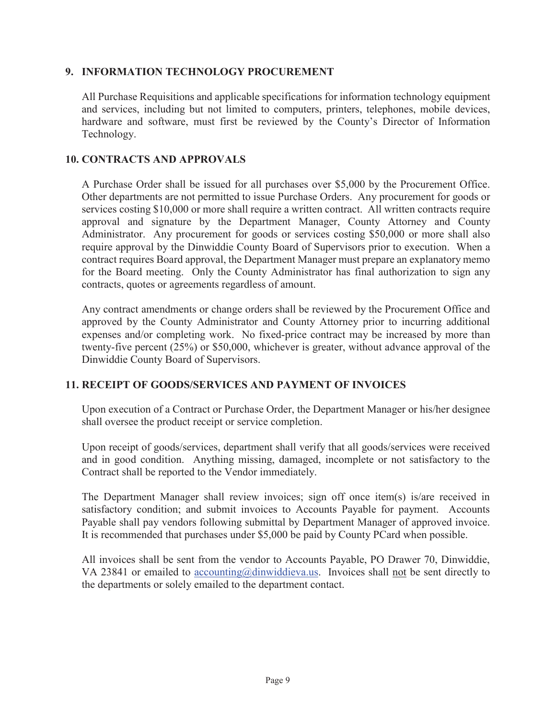#### **9. INFORMATION TECHNOLOGY PROCUREMENT**

All Purchase Requisitions and applicable specifications for information technology equipment and services, including but not limited to computers, printers, telephones, mobile devices, hardware and software, must first be reviewed by the County's Director of Information Technology.

#### **10. CONTRACTS AND APPROVALS**

A Purchase Order shall be issued for all purchases over \$5,000 by the Procurement Office. Other departments are not permitted to issue Purchase Orders. Any procurement for goods or services costing \$10,000 or more shall require a written contract. All written contracts require approval and signature by the Department Manager, County Attorney and County Administrator. Any procurement for goods or services costing \$50,000 or more shall also require approval by the Dinwiddie County Board of Supervisors prior to execution. When a contract requires Board approval, the Department Manager must prepare an explanatory memo for the Board meeting. Only the County Administrator has final authorization to sign any contracts, quotes or agreements regardless of amount.

Any contract amendments or change orders shall be reviewed by the Procurement Office and approved by the County Administrator and County Attorney prior to incurring additional expenses and/or completing work. No fixed-price contract may be increased by more than twenty-five percent (25%) or \$50,000, whichever is greater, without advance approval of the Dinwiddie County Board of Supervisors.

#### **11. RECEIPT OF GOODS/SERVICES AND PAYMENT OF INVOICES**

Upon execution of a Contract or Purchase Order, the Department Manager or his/her designee shall oversee the product receipt or service completion.

Upon receipt of goods/services, department shall verify that all goods/services were received and in good condition. Anything missing, damaged, incomplete or not satisfactory to the Contract shall be reported to the Vendor immediately.

The Department Manager shall review invoices; sign off once item(s) is/are received in satisfactory condition; and submit invoices to Accounts Payable for payment. Accounts Payable shall pay vendors following submittal by Department Manager of approved invoice. It is recommended that purchases under \$5,000 be paid by County PCard when possible.

All invoices shall be sent from the vendor to Accounts Payable, PO Drawer 70, Dinwiddie, VA 23841 or emailed to accounting@dinwiddieva.us. Invoices shall not be sent directly to the departments or solely emailed to the department contact.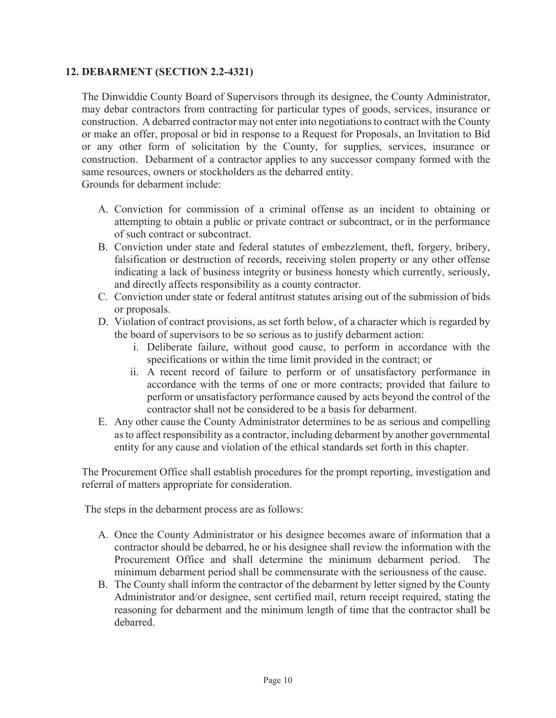#### **12. DEBARMENT (SECTION 2.2-4321)**

The Dinwiddie County Board of Supervisors through its designee, the County Administrator, may debar contractors from contracting for particular types of goods, services, insurance or construction. A debarred contractor may not enter into negotiations to contract with the County or make an offer, proposal or bid in response to a Request for Proposals, an Invitation to Bid or any other form of solicitation by the County, for supplies, services, insurance or construction. Debarment of a contractor applies to any successor company formed with the same resources, owners or stockholders as the debarred entity.

Grounds for debarment include:

- A. Conviction for commission of a criminal offense as an incident to obtaining or attempting to obtain a public or private contract or subcontract, or in the performance of such contract or subcontract.
- B. Conviction under state and federal statutes of embezzlement, theft, forgery, bribery, falsification or destruction of records, receiving stolen property or any other offense indicating a lack of business integrity or business honesty which currently, seriously, and directly affects responsibility as a county contractor.
- C. Conviction under state or federal antitrust statutes arising out of the submission of bids or proposals.
- D. Violation of contract provisions, as set forth below, of a character which is regarded by the board of supervisors to be so serious as to justify debarment action:
	- i. Deliberate failure, without good cause, to perform in accordance with the specifications or within the time limit provided in the contract; or
	- ii. A recent record of failure to perform or of unsatisfactory performance in accordance with the terms of one or more contracts; provided that failure to perform or unsatisfactory performance caused by acts beyond the control of the contractor shall not be considered to be a basis for debarment.
- E. Any other cause the County Administrator determines to be as serious and compelling as to affect responsibility as a contractor, including debarment by another governmental entity for any cause and violation of the ethical standards set forth in this chapter.

The Procurement Office shall establish procedures for the prompt reporting, investigation and referral of matters appropriate for consideration.

The steps in the debarment process are as follows:

- A. Once the County Administrator or his designee becomes aware of information that a contractor should be debarred, he or his designee shall review the information with the Procurement Office and shall determine the minimum debarment period. The minimum debarment period shall be commensurate with the seriousness of the cause.
- B. The County shall inform the contractor of the debarment by letter signed by the County Administrator and/or designee, sent certified mail, return receipt required, stating the reasoning for debarment and the minimum length of time that the contractor shall be debarred.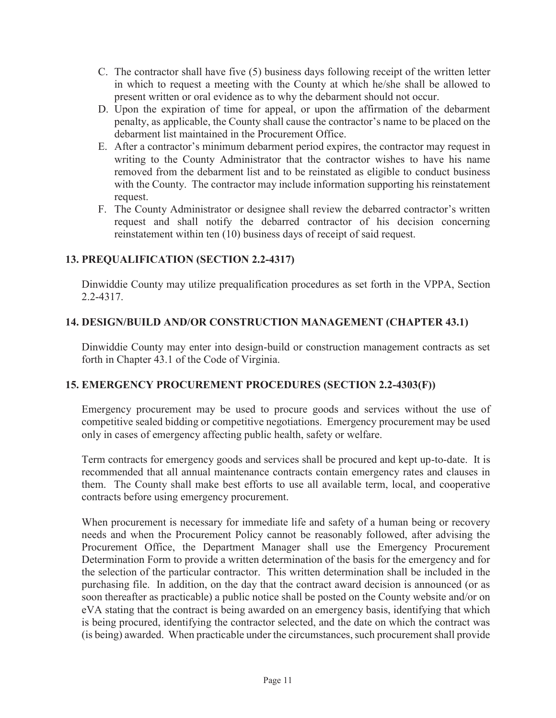- C. The contractor shall have five (5) business days following receipt of the written letter in which to request a meeting with the County at which he/she shall be allowed to present written or oral evidence as to why the debarment should not occur.
- D. Upon the expiration of time for appeal, or upon the affirmation of the debarment penalty, as applicable, the County shall cause the contractor's name to be placed on the debarment list maintained in the Procurement Office.
- E. After a contractor's minimum debarment period expires, the contractor may request in writing to the County Administrator that the contractor wishes to have his name removed from the debarment list and to be reinstated as eligible to conduct business with the County. The contractor may include information supporting his reinstatement request.
- F. The County Administrator or designee shall review the debarred contractor's written request and shall notify the debarred contractor of his decision concerning reinstatement within ten (10) business days of receipt of said request.

### **13. PREQUALIFICATION (SECTION 2.2-4317)**

Dinwiddie County may utilize prequalification procedures as set forth in the VPPA, Section 2.2-4317.

### **14. DESIGN/BUILD AND/OR CONSTRUCTION MANAGEMENT (CHAPTER 43.1)**

Dinwiddie County may enter into design-build or construction management contracts as set forth in Chapter 43.1 of the Code of Virginia.

#### **15. EMERGENCY PROCUREMENT PROCEDURES (SECTION 2.2-4303(F))**

Emergency procurement may be used to procure goods and services without the use of competitive sealed bidding or competitive negotiations. Emergency procurement may be used only in cases of emergency affecting public health, safety or welfare.

Term contracts for emergency goods and services shall be procured and kept up-to-date. It is recommended that all annual maintenance contracts contain emergency rates and clauses in them. The County shall make best efforts to use all available term, local, and cooperative contracts before using emergency procurement.

When procurement is necessary for immediate life and safety of a human being or recovery needs and when the Procurement Policy cannot be reasonably followed, after advising the Procurement Office, the Department Manager shall use the Emergency Procurement Determination Form to provide a written determination of the basis for the emergency and for the selection of the particular contractor. This written determination shall be included in the purchasing file. In addition, on the day that the contract award decision is announced (or as soon thereafter as practicable) a public notice shall be posted on the County website and/or on eVA stating that the contract is being awarded on an emergency basis, identifying that which is being procured, identifying the contractor selected, and the date on which the contract was (is being) awarded. When practicable under the circumstances, such procurement shall provide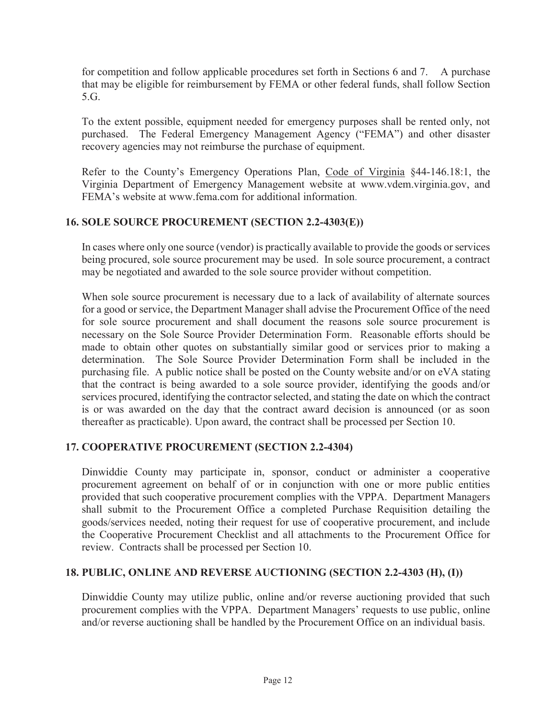for competition and follow applicable procedures set forth in Sections 6 and 7. A purchase that may be eligible for reimbursement by FEMA or other federal funds, shall follow Section 5.G.

To the extent possible, equipment needed for emergency purposes shall be rented only, not purchased. The Federal Emergency Management Agency ("FEMA") and other disaster recovery agencies may not reimburse the purchase of equipment.

Refer to the County's Emergency Operations Plan, Code of Virginia §44-146.18:1, the Virginia Department of Emergency Management website at www.vdem.virginia.gov, and FEMA's website at www.fema.com for additional information.

### **16. SOLE SOURCE PROCUREMENT (SECTION 2.2-4303(E))**

In cases where only one source (vendor) is practically available to provide the goods or services being procured, sole source procurement may be used. In sole source procurement, a contract may be negotiated and awarded to the sole source provider without competition.

When sole source procurement is necessary due to a lack of availability of alternate sources for a good or service, the Department Manager shall advise the Procurement Office of the need for sole source procurement and shall document the reasons sole source procurement is necessary on the Sole Source Provider Determination Form. Reasonable efforts should be made to obtain other quotes on substantially similar good or services prior to making a determination. The Sole Source Provider Determination Form shall be included in the purchasing file. A public notice shall be posted on the County website and/or on eVA stating that the contract is being awarded to a sole source provider, identifying the goods and/or services procured, identifying the contractor selected, and stating the date on which the contract is or was awarded on the day that the contract award decision is announced (or as soon thereafter as practicable). Upon award, the contract shall be processed per Section 10.

#### **17. COOPERATIVE PROCUREMENT (SECTION 2.2-4304)**

Dinwiddie County may participate in, sponsor, conduct or administer a cooperative procurement agreement on behalf of or in conjunction with one or more public entities provided that such cooperative procurement complies with the VPPA. Department Managers shall submit to the Procurement Office a completed Purchase Requisition detailing the goods/services needed, noting their request for use of cooperative procurement, and include the Cooperative Procurement Checklist and all attachments to the Procurement Office for review. Contracts shall be processed per Section 10.

#### **18. PUBLIC, ONLINE AND REVERSE AUCTIONING (SECTION 2.2-4303 (H), (I))**

Dinwiddie County may utilize public, online and/or reverse auctioning provided that such procurement complies with the VPPA. Department Managers' requests to use public, online and/or reverse auctioning shall be handled by the Procurement Office on an individual basis.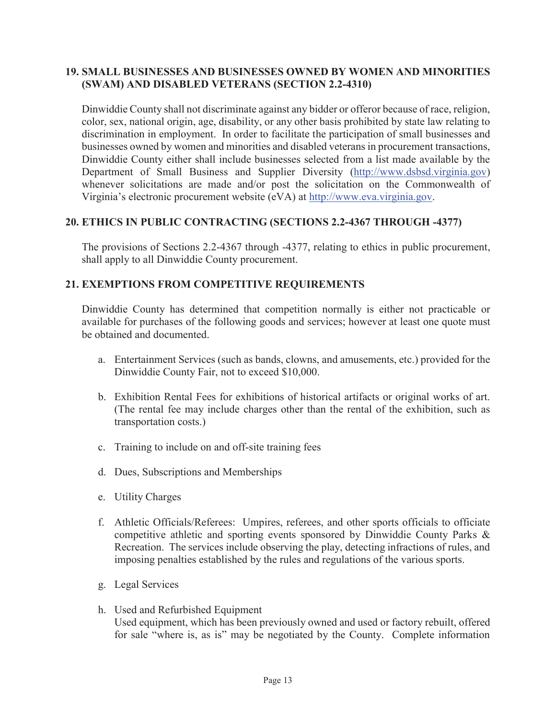#### **19. SMALL BUSINESSES AND BUSINESSES OWNED BY WOMEN AND MINORITIES (SWAM) AND DISABLED VETERANS (SECTION 2.2-4310)**

Dinwiddie County shall not discriminate against any bidder or offeror because of race, religion, color, sex, national origin, age, disability, or any other basis prohibited by state law relating to discrimination in employment. In order to facilitate the participation of small businesses and businesses owned by women and minorities and disabled veterans in procurement transactions, Dinwiddie County either shall include businesses selected from a list made available by the Department of Small Business and Supplier Diversity (http://www.dsbsd.virginia.gov) whenever solicitations are made and/or post the solicitation on the Commonwealth of Virginia's electronic procurement website (eVA) at http://www.eva.virginia.gov.

#### **20. ETHICS IN PUBLIC CONTRACTING (SECTIONS 2.2-4367 THROUGH -4377)**

The provisions of Sections 2.2-4367 through -4377, relating to ethics in public procurement, shall apply to all Dinwiddie County procurement.

#### **21. EXEMPTIONS FROM COMPETITIVE REQUIREMENTS**

Dinwiddie County has determined that competition normally is either not practicable or available for purchases of the following goods and services; however at least one quote must be obtained and documented.

- a. Entertainment Services (such as bands, clowns, and amusements, etc.) provided for the Dinwiddie County Fair, not to exceed \$10,000.
- b. Exhibition Rental Fees for exhibitions of historical artifacts or original works of art. (The rental fee may include charges other than the rental of the exhibition, such as transportation costs.)
- c. Training to include on and off-site training fees
- d. Dues, Subscriptions and Memberships
- e. Utility Charges
- f. Athletic Officials/Referees: Umpires, referees, and other sports officials to officiate competitive athletic and sporting events sponsored by Dinwiddie County Parks & Recreation. The services include observing the play, detecting infractions of rules, and imposing penalties established by the rules and regulations of the various sports.
- g. Legal Services
- h. Used and Refurbished Equipment Used equipment, which has been previously owned and used or factory rebuilt, offered for sale "where is, as is" may be negotiated by the County. Complete information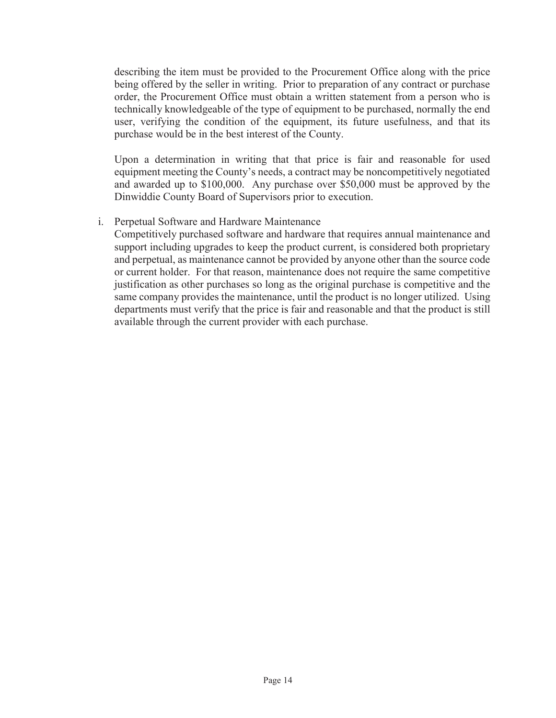describing the item must be provided to the Procurement Office along with the price being offered by the seller in writing. Prior to preparation of any contract or purchase order, the Procurement Office must obtain a written statement from a person who is technically knowledgeable of the type of equipment to be purchased, normally the end user, verifying the condition of the equipment, its future usefulness, and that its purchase would be in the best interest of the County.

Upon a determination in writing that that price is fair and reasonable for used equipment meeting the County's needs, a contract may be noncompetitively negotiated and awarded up to \$100,000. Any purchase over \$50,000 must be approved by the Dinwiddie County Board of Supervisors prior to execution.

i. Perpetual Software and Hardware Maintenance

Competitively purchased software and hardware that requires annual maintenance and support including upgrades to keep the product current, is considered both proprietary and perpetual, as maintenance cannot be provided by anyone other than the source code or current holder. For that reason, maintenance does not require the same competitive justification as other purchases so long as the original purchase is competitive and the same company provides the maintenance, until the product is no longer utilized. Using departments must verify that the price is fair and reasonable and that the product is still available through the current provider with each purchase.